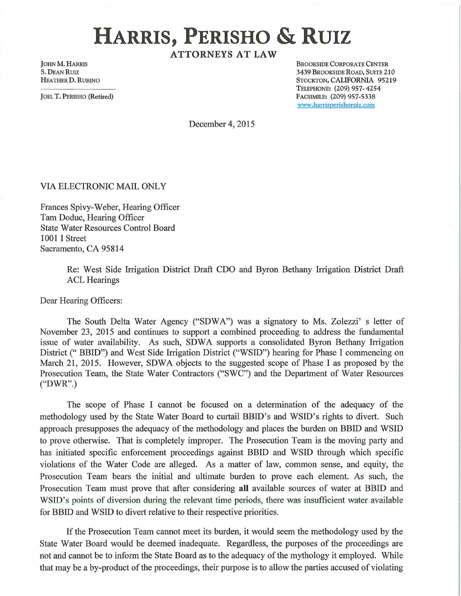## **HARRIS, PERISHO & RUIZ**

**ATTORNEYS AT LAW** 

JOHN M. HARRIS S. DEAN RUIZ HEATHER D. RUBINO

JOEL T. PERISHO (Retired)

BROOKSIDE CORPORATE CENTER 3439 BROOKSIDE ROAD, SUITE 210 STOCKTON, CALIFORNIA 95219 TELEPHONE: (209) 957-4254 FACSIMILE: (209) 957-5338 www .harrisperishoruiz.com

December 4, 2015

VIA ELECTRONIC MAIL ONLY

Frances Spivy-Weber, Hearing Officer Tam Doduc, Hearing Officer State Water Resources Control Board 1001 I Street Sacramento, CA 95814

> Re: West Side Irrigation District Draft CDO and Byron Bethany Irrigation District Draft ACL Hearings

Dear Hearing Officers:

The South Delta Water Agency ("SDWA") was a signatory to Ms. Zolezzi' s letter of November 23, 2015 and continues to support a combined proceeding to address the fundamental issue of water availability. As such, SDWA supports a consolidated Byron Bethany Irrigation District ("BBID") and West Side Irrigation District ("WSID") hearing for Phase I commencing on March 21, 2015. However, SDWA objects to the suggested scope of Phase I as proposed by the Prosecution Team, the State Water Contractors ("SWC") and the Department of Water Resources ("DWR".)

The scope of Phase I cannot be focused on a determination of the adequacy of the methodology used by the State Water Board to curtail BBID's and WSID's rights to divert. Such approach presupposes the adequacy of the methodology and places the burden on BBID and WSID to prove otherwise. That is completely improper. The Prosecution Team is the moving party and has initiated specific enforcement proceedings against BBID and WSID through which specific violations of the Water Code are alleged. As a matter of law, common sense, and equity, the Prosecution Team bears the initial and ultimate burden to prove each element. As such, the Prosecution Team must prove that after considering **all** available sources of water at BBID and WSID's points of diversion during the relevant time periods, there was insufficient water available for BBID and WSID to divert relative to their respective priorities.

If the Prosecution Team cannot meet its burden, it would seem the methodology used by the State Water Board would be deemed inadequate. Regardless, the purposes of the proceedings are not and cannot be to inform the State Board as to the adequacy of the mythology it employed. While that may be a by-product of the proceedings, their purpose is to allow the patties accused of violating